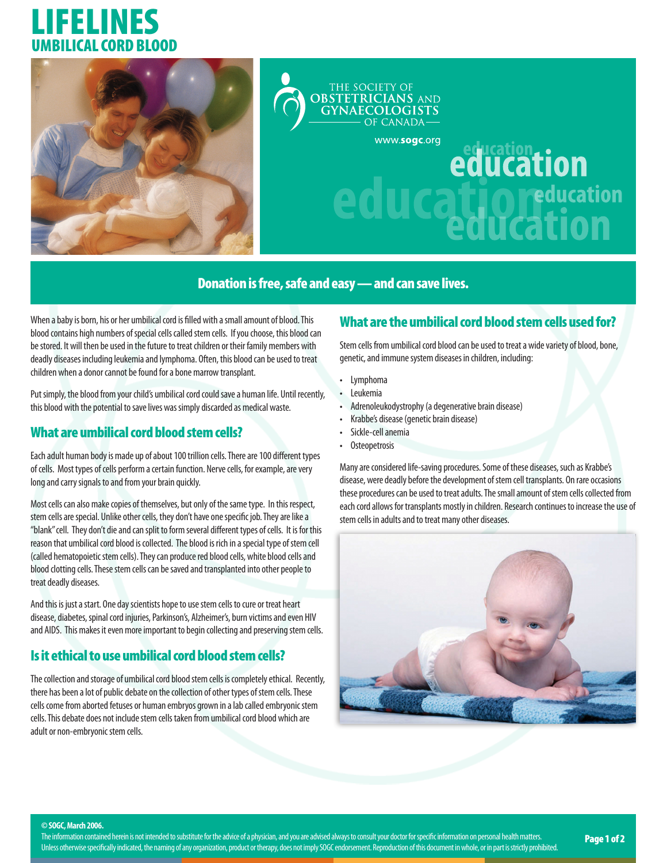# LIFELINES UMBILICAL CORD BLOOD





# **education Cation** reducation

#### Donation is free, safe and easy — and can save lives.

When a baby is born, his or her umbilical cord is filled with a small amount of blood. This blood contains high numbers of special cells called stem cells. If you choose, this blood can be stored. It will then be used in the future to treat children or their family members with deadly diseases including leukemia and lymphoma. Often, this blood can be used to treat children when a donor cannot be found for a bone marrow transplant.

Put simply, the blood from your child's umbilical cord could save a human life. Until recently, this blood with the potential to save lives was simply discarded as medical waste.

#### What are umbilical cord blood stem cells?

Each adult human body is made up of about 100 trillion cells. There are 100 different types of cells. Most types of cells perform a certain function. Nerve cells, for example, are very long and carry signals to and from your brain quickly.

Most cells can also make copies of themselves, but only of the same type. In this respect, stem cells are special. Unlike other cells, they don't have one specific job. They are like a "blank" cell. They don't die and can split to form several different types of cells. It is for this reason that umbilical cord blood is collected. The blood is rich in a special type of stem cell (called hematopoietic stem cells). They can produce red blood cells, white blood cells and blood clotting cells. These stem cells can be saved and transplanted into other people to treat deadly diseases.

And this is just a start. One day scientists hope to use stem cells to cure or treat heart disease, diabetes, spinal cord injuries, Parkinson's, Alzheimer's, burn victims and even HIV and AIDS. This makes it even more important to begin collecting and preserving stem cells.

### Is it ethical to use umbilical cord blood stem cells?

The collection and storage of umbilical cord blood stem cells is completely ethical. Recently, there has been a lot of public debate on the collection of other types of stem cells. These cells come from aborted fetuses or human embryos grown in a lab called embryonic stem cells. This debate does not include stem cells taken from umbilical cord blood which are adult or non-embryonic stem cells.

#### What are the umbilical cord blood stem cells used for?

Stem cells from umbilical cord blood can be used to treat a wide variety of blood, bone, genetic, and immune system diseases in children, including:

- Lymphoma
- Leukemia
- Adrenoleukodystrophy (a degenerative brain disease)
- Krabbe's disease (genetic brain disease)
- Sickle-cell anemia
- Osteopetrosis

Many are considered life-saving procedures. Some of these diseases, such as Krabbe's disease, were deadly before the development of stem cell transplants. On rare occasions these procedures can be used to treat adults. The small amount of stem cells collected from each cord allows for transplants mostly in children. Research continues to increase the use of stem cells in adults and to treat many other diseases.



**© SOGC, March 2006.**

The information contained herein is not intended to substitute for the advice of a physician, and you are advised always to consult your doctor for specific information on personal health matters. The information contained herein is not intended to substitute for the advice of a physician, and you are advised always to consult your doctor for specific information on personal health matters. **Page 1 of 2**<br>Unless othe